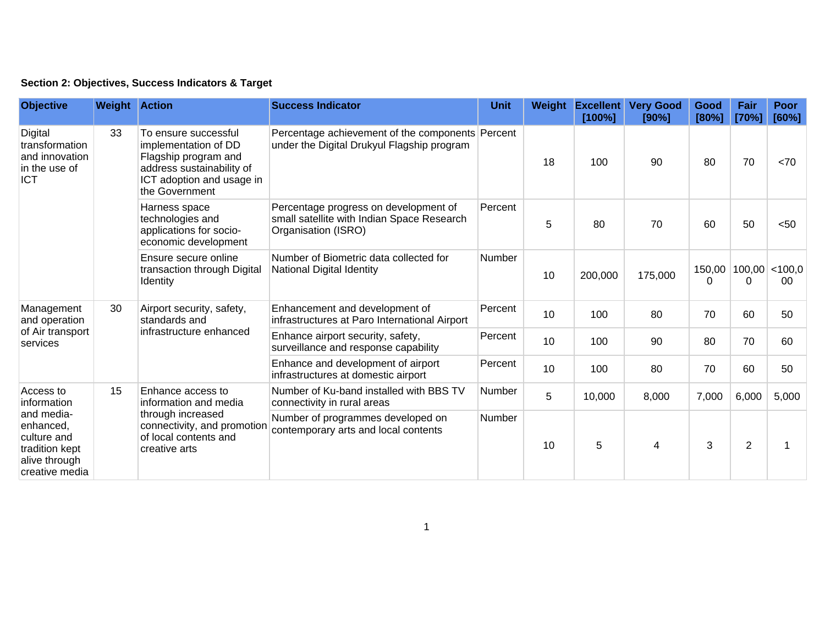## **Section 2: Objectives, Success Indicators & Target**

| <b>Objective</b>                                                                                                        | <b>Weight Action</b> |                                                                                                                                                  | <b>Success Indicator</b>                                                                                   | Unit          | Weight | <b>Excellent</b><br>[100%] | <b>Very Good</b><br>[90%] | <b>Good</b><br>[80%] | Fair<br>[70%]                      | <b>Poor</b><br>[60%] |
|-------------------------------------------------------------------------------------------------------------------------|----------------------|--------------------------------------------------------------------------------------------------------------------------------------------------|------------------------------------------------------------------------------------------------------------|---------------|--------|----------------------------|---------------------------|----------------------|------------------------------------|----------------------|
| Digital<br>transformation<br>and innovation<br>in the use of<br><b>ICT</b>                                              | 33                   | To ensure successful<br>implementation of DD<br>Flagship program and<br>address sustainability of<br>ICT adoption and usage in<br>the Government | Percentage achievement of the components Percent<br>under the Digital Drukyul Flagship program             |               | 18     | 100                        | 90                        | 80                   | 70                                 | <70                  |
|                                                                                                                         |                      | Harness space<br>technologies and<br>applications for socio-<br>economic development                                                             | Percentage progress on development of<br>small satellite with Indian Space Research<br>Organisation (ISRO) | Percent       | 5      | 80                         | 70                        | 60                   | 50                                 | < 50                 |
|                                                                                                                         |                      | Ensure secure online<br>transaction through Digital<br>Identity                                                                                  | Number of Biometric data collected for<br>National Digital Identity                                        | <b>Number</b> | 10     | 200,000                    | 175,000                   | $\Omega$             | $150,00$   $100,00$   < 100,0<br>0 | 00                   |
| Management<br>and operation<br>of Air transport<br>services                                                             | 30                   | Airport security, safety,<br>standards and<br>infrastructure enhanced                                                                            | Enhancement and development of<br>infrastructures at Paro International Airport                            | Percent       | 10     | 100                        | 80                        | 70                   | 60                                 | 50                   |
|                                                                                                                         |                      |                                                                                                                                                  | Enhance airport security, safety,<br>surveillance and response capability                                  | Percent       | 10     | 100                        | 90                        | 80                   | 70                                 | 60                   |
|                                                                                                                         |                      |                                                                                                                                                  | Enhance and development of airport<br>infrastructures at domestic airport                                  | Percent       | 10     | 100                        | 80                        | 70                   | 60                                 | 50                   |
| Access to<br>information<br>and media-<br>enhanced,<br>culture and<br>tradition kept<br>alive through<br>creative media | 15                   | Enhance access to<br>information and media<br>through increased<br>connectivity, and promotion<br>of local contents and<br>creative arts         | Number of Ku-band installed with BBS TV<br>connectivity in rural areas                                     | Number        | 5      | 10,000                     | 8,000                     | 7,000                | 6,000                              | 5,000                |
|                                                                                                                         |                      |                                                                                                                                                  | Number of programmes developed on<br>contemporary arts and local contents                                  | Number        | 10     | 5                          | 4                         | 3                    | $\overline{2}$                     |                      |